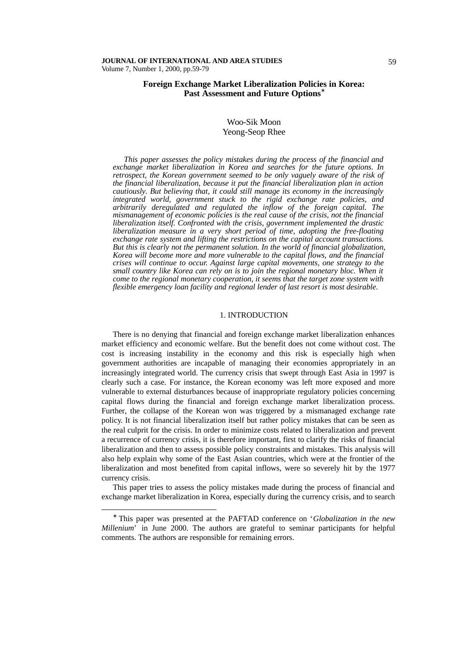# **Foreign Exchange Market Liberalization Policies in Korea: Past Assessment and Future Options\***

### Woo-Sik Moon Yeong-Seop Rhee

*This paper assesses the policy mistakes during the process of the financial and exchange market liberalization in Korea and searches for the future options. In retrospect, the Korean government seemed to be only vaguely aware of the risk of the financial liberalization, because it put the financial liberalization plan in action cautiously. But believing that, it could still manage its economy in the increasingly integrated world, government stuck to the rigid exchange rate policies, and arbitrarily deregulated and regulated the inflow of the foreign capital. The mismanagement of economic policies is the real cause of the crisis, not the financial liberalization itself. Confronted with the crisis, government implemented the drastic liberalization measure in a very short period of time, adopting the free-floating intermination measure in a very short period of time, adopting the free-floating exchange rate system and lifting the restrictions on the capital account transactions. But this is clearly not the permanent solution. In the world of financial globalization, Korea will become more and more vulnerable to the capital flows, and the financial crises will continue to occur. Against large capital movements, one strategy to the small country like Korea can rely on is to join the regional monetary bloc. When it come to the regional monetary cooperation, it seems that the target zone system with flexible emergency loan facility and regional lender of last resort is most desirable.* 

#### 1. INTRODUCTION

There is no denying that financial and foreign exchange market liberalization enhances market efficiency and economic welfare. But the benefit does not come without cost. The cost is increasing instability in the economy and this risk is especially high when government authorities are incapable of managing their economies appropriately in an increasingly integrated world. The currency crisis that swept through East Asia in 1997 is clearly such a case. For instance, the Korean economy was left more exposed and more vulnerable to external disturbances because of inappropriate regulatory policies concerning capital flows during the financial and foreign exchange market liberalization process. Further, the collapse of the Korean won was triggered by a mismanaged exchange rate policy. It is not financial liberalization itself but rather policy mistakes that can be seen as the real culprit for the crisis. In order to minimize costs related to liberalization and prevent a recurrence of currency crisis, it is therefore important, first to clarify the risks of financial liberalization and then to assess possible policy constraints and mistakes. This analysis will also help explain why some of the East Asian countries, which were at the frontier of the liberalization and most benefited from capital inflows, were so severely hit by the 1977 currency crisis.

This paper tries to assess the policy mistakes made during the process of financial and exchange market liberalization in Korea, especially during the currency crisis, and to search

-

<sup>∗</sup> This paper was presented at the PAFTAD conference on '*Globalization in the new Millenium*' in June 2000. The authors are grateful to seminar participants for helpful comments. The authors are responsible for remaining errors.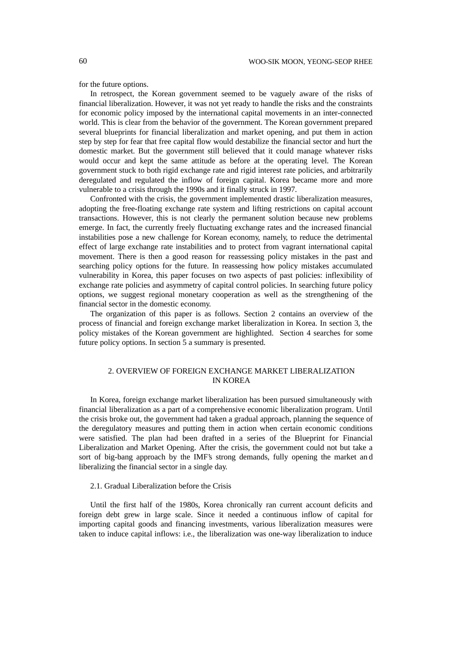for the future options.

In retrospect, the Korean government seemed to be vaguely aware of the risks of financial liberalization. However, it was not yet ready to handle the risks and the constraints for economic policy imposed by the international capital movements in an inter-connected world. This is clear from the behavior of the government. The Korean government prepared several blueprints for financial liberalization and market opening, and put them in action step by step for fear that free capital flow would destabilize the financial sector and hurt the domestic market. But the government still believed that it could manage whatever risks would occur and kept the same attitude as before at the operating level. The Korean government stuck to both rigid exchange rate and rigid interest rate policies, and arbitrarily deregulated and regulated the inflow of foreign capital. Korea became more and more vulnerable to a crisis through the 1990s and it finally struck in 1997.

Confronted with the crisis, the government implemented drastic liberalization measures, adopting the free-floating exchange rate system and lifting restrictions on capital account transactions. However, this is not clearly the permanent solution because new problems emerge. In fact, the currently freely fluctuating exchange rates and the increased financial instabilities pose a new challenge for Korean economy, namely, to reduce the detrimental effect of large exchange rate instabilities and to protect from vagrant international capital movement. There is then a good reason for reassessing policy mistakes in the past and searching policy options for the future. In reassessing how policy mistakes accumulated vulnerability in Korea, this paper focuses on two aspects of past policies: inflexibility of exchange rate policies and asymmetry of capital control policies. In searching future policy options, we suggest regional monetary cooperation as well as the strengthening of the financial sector in the domestic economy.

The organization of this paper is as follows. Section 2 contains an overview of the process of financial and foreign exchange market liberalization in Korea. In section 3, the policy mistakes of the Korean government are highlighted. Section 4 searches for some future policy options. In section 5 a summary is presented.

# 2. OVERVIEW OF FOREIGN EXCHANGE MARKET LIBERALIZATION IN KOREA

In Korea, foreign exchange market liberalization has been pursued simultaneously with financial liberalization as a part of a comprehensive economic liberalization program. Until the crisis broke out, the government had taken a gradual approach, planning the sequence of the deregulatory measures and putting them in action when certain economic conditions were satisfied. The plan had been drafted in a series of the Blueprint for Financial Liberalization and Market Opening. After the crisis, the government could not but take a sort of big-bang approach by the IMF's strong demands, fully opening the market an d liberalizing the financial sector in a single day.

### 2.1. Gradual Liberalization before the Crisis

Until the first half of the 1980s, Korea chronically ran current account deficits and foreign debt grew in large scale. Since it needed a continuous inflow of capital for importing capital goods and financing investments, various liberalization measures were taken to induce capital inflows: i.e., the liberalization was one-way liberalization to induce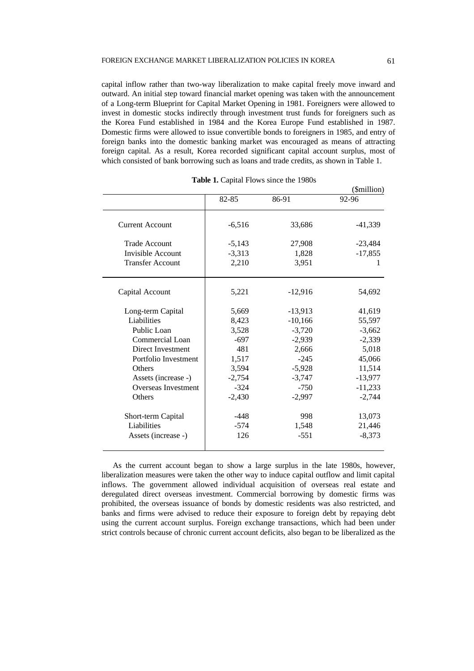capital inflow rather than two-way liberalization to make capital freely move inward and outward. An initial step toward financial market opening was taken with the announcement of a Long-term Blueprint for Capital Market Opening in 1981. Foreigners were allowed to invest in domestic stocks indirectly through investment trust funds for foreigners such as the Korea Fund established in 1984 and the Korea Europe Fund established in 1987. Domestic firms were allowed to issue convertible bonds to foreigners in 1985, and entry of foreign banks into the domestic banking market was encouraged as means of attracting foreign capital. As a result, Korea recorded significant capital account surplus, most of which consisted of bank borrowing such as loans and trade credits, as shown in Table 1.

|                         |          |           | (\$million) |
|-------------------------|----------|-----------|-------------|
|                         | 82-85    | 86-91     | 92-96       |
|                         |          |           |             |
| <b>Current Account</b>  | $-6,516$ | 33,686    | $-41,339$   |
|                         |          |           |             |
| <b>Trade Account</b>    | $-5,143$ | 27,908    | $-23,484$   |
| Invisible Account       | $-3,313$ | 1,828     | $-17,855$   |
| <b>Transfer Account</b> | 2,210    | 3,951     | T           |
|                         |          |           |             |
| Capital Account         | 5,221    | $-12,916$ | 54,692      |
| Long-term Capital       | 5,669    | $-13,913$ | 41,619      |
| Liabilities             | 8,423    | $-10,166$ | 55,597      |
| Public Loan             | 3,528    | $-3,720$  | $-3,662$    |
| Commercial Loan         | $-697$   |           |             |
|                         |          | $-2,939$  | $-2,339$    |
| Direct Investment       | 481      | 2,666     | 5,018       |
| Portfolio Investment    | 1,517    | $-245$    | 45,066      |
| <b>Others</b>           | 3,594    | $-5,928$  | 11,514      |
| Assets (increase -)     | $-2,754$ | $-3,747$  | $-13,977$   |
| Overseas Investment     | $-324$   | $-750$    | $-11,233$   |
| <b>Others</b>           | $-2,430$ | $-2,997$  | $-2,744$    |
| Short-term Capital      | $-448$   | 998       | 13,073      |
| Liabilities             | $-574$   | 1,548     | 21,446      |
| Assets (increase -)     | 126      | $-551$    | $-8,373$    |
|                         |          |           |             |

As the current account began to show a large surplus in the late 1980s, however, liberalization measures were taken the other way to induce capital outflow and limit capital inflows. The government allowed individual acquisition of overseas real estate and deregulated direct overseas investment. Commercial borrowing by domestic firms was prohibited, the overseas issuance of bonds by domestic residents was also restricted, and banks and firms were advised to reduce their exposure to foreign debt by repaying debt using the current account surplus. Foreign exchange transactions, which had been under strict controls because of chronic current account deficits, also began to be liberalized as the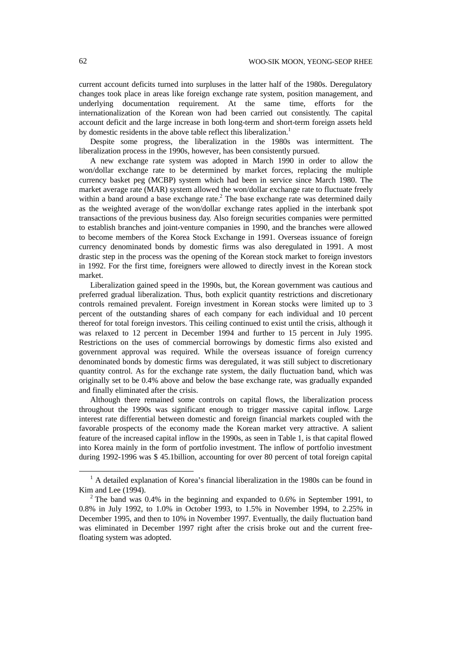current account deficits turned into surpluses in the latter half of the 1980s. Deregulatory changes took place in areas like foreign exchange rate system, position management, and underlying documentation requirement. At the same time, efforts for the internationalization of the Korean won had been carried out consistently. The capital account deficit and the large increase in both long-term and short-term foreign assets held by domestic residents in the above table reflect this liberalization.<sup>1</sup>

Despite some progress, the liberalization in the 1980s was intermittent. The liberalization process in the 1990s, however, has been consistently pursued.

A new exchange rate system was adopted in March 1990 in order to allow the won/dollar exchange rate to be determined by market forces, replacing the multiple currency basket peg (MCBP) system which had been in service since March 1980. The market average rate (MAR) system allowed the won/dollar exchange rate to fluctuate freely within a band around a base exchange rate. $<sup>2</sup>$  The base exchange rate was determined daily</sup> as the weighted average of the won/dollar exchange rates applied in the interbank spot transactions of the previous business day. Also foreign securities companies were permitted to establish branches and joint-venture companies in 1990, and the branches were allowed to become members of the Korea Stock Exchange in 1991. Overseas issuance of foreign currency denominated bonds by domestic firms was also deregulated in 1991. A most drastic step in the process was the opening of the Korean stock market to foreign investors in 1992. For the first time, foreigners were allowed to directly invest in the Korean stock market.

Liberalization gained speed in the 1990s, but, the Korean government was cautious and preferred gradual liberalization. Thus, both explicit quantity restrictions and discretionary controls remained prevalent. Foreign investment in Korean stocks were limited up to 3 percent of the outstanding shares of each company for each individual and 10 percent thereof for total foreign investors. This ceiling continued to exist until the crisis, although it was relaxed to 12 percent in December 1994 and further to 15 percent in July 1995. Restrictions on the uses of commercial borrowings by domestic firms also existed and government approval was required. While the overseas issuance of foreign currency denominated bonds by domestic firms was deregulated, it was still subject to discretionary quantity control. As for the exchange rate system, the daily fluctuation band, which was originally set to be 0.4% above and below the base exchange rate, was gradually expanded and finally eliminated after the crisis.

Although there remained some controls on capital flows, the liberalization process throughout the 1990s was significant enough to trigger massive capital inflow. Large interest rate differential between domestic and foreign financial markets coupled with the favorable prospects of the economy made the Korean market very attractive. A salient feature of the increased capital inflow in the 1990s, as seen in Table 1, is that capital flowed into Korea mainly in the form of portfolio investment. The inflow of portfolio investment during 1992-1996 was \$ 45.1billion, accounting for over 80 percent of total foreign capital

l

<sup>&</sup>lt;sup>1</sup> A detailed explanation of Korea's financial liberalization in the 1980s can be found in Kim and Lee (1994).

<sup>&</sup>lt;sup>2</sup> The band was 0.4% in the beginning and expanded to 0.6% in September 1991, to 0.8% in July 1992, to 1.0% in October 1993, to 1.5% in November 1994, to 2.25% in December 1995, and then to 10% in November 1997. Eventually, the daily fluctuation band was eliminated in December 1997 right after the crisis broke out and the current freefloating system was adopted.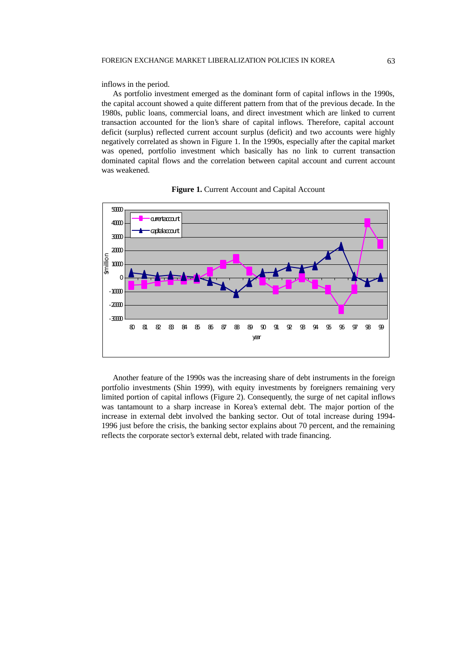inflows in the period.

As portfolio investment emerged as the dominant form of capital inflows in the 1990s, the capital account showed a quite different pattern from that of the previous decade. In the 1980s, public loans, commercial loans, and direct investment which are linked to current transaction accounted for the lion's share of capital inflows. Therefore, capital account deficit (surplus) reflected current account surplus (deficit) and two accounts were highly negatively correlated as shown in Figure 1. In the 1990s, especially after the capital market was opened, portfolio investment which basically has no link to current transaction dominated capital flows and the correlation between capital account and current account was weakened.





Another feature of the 1990s was the increasing share of debt instruments in the foreign portfolio investments (Shin 1999), with equity investments by foreigners remaining very limited portion of capital inflows (Figure 2). Consequently, the surge of net capital inflows was tantamount to a sharp increase in Korea's external debt. The major portion of the increase in external debt involved the banking sector. Out of total increase during 1994- 1996 just before the crisis, the banking sector explains about 70 percent, and the remaining reflects the corporate sector's external debt, related with trade financing.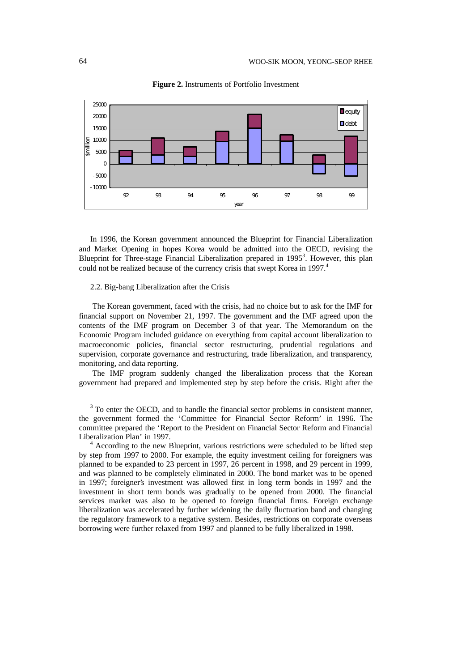

**Figure 2.** Instruments of Portfolio Investment

In 1996, the Korean government announced the Blueprint for Financial Liberalization and Market Opening in hopes Korea would be admitted into the OECD, revising the Blueprint for Three-stage Financial Liberalization prepared in 1995<sup>3</sup>. However, this plan could not be realized because of the currency crisis that swept Korea in 1997.<sup>4</sup>

# 2.2. Big-bang Liberalization after the Crisis

 The Korean government, faced with the crisis, had no choice but to ask for the IMF for financial support on November 21, 1997. The government and the IMF agreed upon the contents of the IMF program on December 3 of that year. The Memorandum on the Economic Program included guidance on everything from capital account liberalization to macroeconomic policies, financial sector restructuring, prudential regulations and supervision, corporate governance and restructuring, trade liberalization, and transparency, monitoring, and data reporting.

The IMF program suddenly changed the liberalization process that the Korean government had prepared and implemented step by step before the crisis. Right after the

-

<sup>&</sup>lt;sup>3</sup> To enter the OECD, and to handle the financial sector problems in consistent manner, the government formed the 'Committee for Financial Sector Reform' in 1996. The committee prepared the 'Report to the President on Financial Sector Reform and Financial Liberalization Plan' in 1997.

<sup>4</sup> According to the new Blueprint, various restrictions were scheduled to be lifted step by step from 1997 to 2000. For example, the equity investment ceiling for foreigners was planned to be expanded to 23 percent in 1997, 26 percent in 1998, and 29 percent in 1999, and was planned to be completely eliminated in 2000. The bond market was to be opened in 1997; foreigner's investment was allowed first in long term bonds in 1997 and the investment in short term bonds was gradually to be opened from 2000. The financial services market was also to be opened to foreign financial firms. Foreign exchange liberalization was accelerated by further widening the daily fluctuation band and changing the regulatory framework to a negative system. Besides, restrictions on corporate overseas borrowing were further relaxed from 1997 and planned to be fully liberalized in 1998.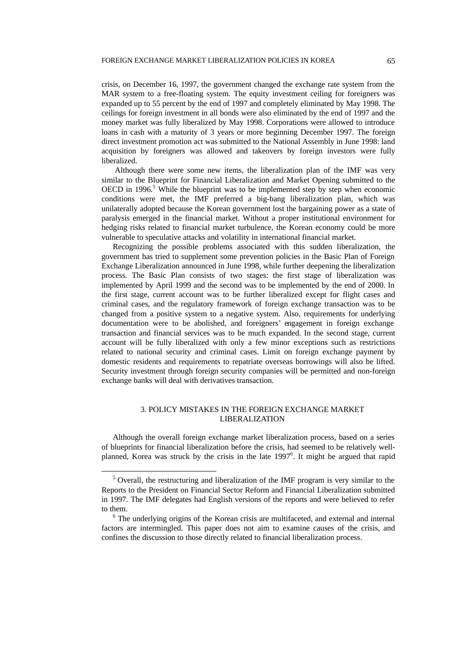crisis, on December 16, 1997, the government changed the exchange rate system from the MAR system to a free-floating system. The equity investment ceiling for foreigners was expanded up to 55 percent by the end of 1997 and completely eliminated by May 1998. The ceilings for foreign investment in all bonds were also eliminated by the end of 1997 and the money market was fully liberalized by May 1998. Corporations were allowed to introduce loans in cash with a maturity of 3 years or more beginning December 1997. The foreign direct investment promotion act was submitted to the National Assembly in June 1998: land acquisition by foreigners was allowed and takeovers by foreign investors were fully liberalized.

 Although there were some new items, the liberalization plan of the IMF was very similar to the Blueprint for Financial Liberalization and Market Opening submitted to the  $OECD$  in 1996.<sup>5</sup> While the blueprint was to be implemented step by step when economic conditions were met, the IMF preferred a big-bang liberalization plan, which was unilaterally adopted because the Korean government lost the bargaining power as a state of paralysis emerged in the financial market. Without a proper institutional environment for hedging risks related to financial market turbulence, the Korean economy could be more vulnerable to speculative attacks and volatility in international financial market.

Recognizing the possible problems associated with this sudden liberalization, the government has tried to supplement some prevention policies in the Basic Plan of Foreign Exchange Liberalization announced in June 1998, while further deepening the liberalization process. The Basic Plan consists of two stages: the first stage of liberalization was implemented by April 1999 and the second was to be implemented by the end of 2000. In the first stage, current account was to be further liberalized except for flight cases and criminal cases, and the regulatory framework of foreign exchange transaction was to be changed from a positive system to a negative system. Also, requirements for underlying documentation were to be abolished, and foreigners' engagement in foreign exchange transaction and financial services was to be much expanded. In the second stage, current account will be fully liberalized with only a few minor exceptions such as restrictions related to national security and criminal cases. Limit on foreign exchange payment by domestic residents and requirements to repatriate overseas borrowings will also be lifted. Security investment through foreign security companies will be permitted and non-foreign exchange banks will deal with derivatives transaction.

## 3. POLICY MISTAKES IN THE FOREIGN EXCHANGE MARKET LIBERALIZATION

Although the overall foreign exchange market liberalization process, based on a series of blueprints for financial liberalization before the crisis, had seemed to be relatively wellplanned, Korea was struck by the crisis in the late 1997<sup>6</sup>. It might be argued that rapid

l

<sup>&</sup>lt;sup>5</sup> Overall, the restructuring and liberalization of the IMF program is very similar to the Reports to the President on Financial Sector Reform and Financial Liberalization submitted in 1997. The IMF delegates had English versions of the reports and were believed to refer to them.

<sup>&</sup>lt;sup>6</sup> The underlying origins of the Korean crisis are multifaceted, and external and internal factors are intermingled. This paper does not aim to examine causes of the crisis, and confines the discussion to those directly related to financial liberalization process.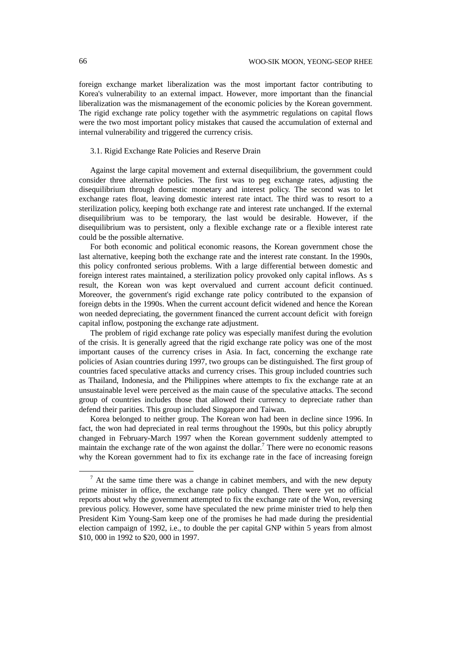foreign exchange market liberalization was the most important factor contributing to Korea's vulnerability to an external impact. However, more important than the financial liberalization was the mismanagement of the economic policies by the Korean government. The rigid exchange rate policy together with the asymmetric regulations on capital flows were the two most important policy mistakes that caused the accumulation of external and internal vulnerability and triggered the currency crisis.

### 3.1. Rigid Exchange Rate Policies and Reserve Drain

Against the large capital movement and external disequilibrium, the government could consider three alternative policies. The first was to peg exchange rates, adjusting the disequilibrium through domestic monetary and interest policy. The second was to let exchange rates float, leaving domestic interest rate intact. The third was to resort to a sterilization policy, keeping both exchange rate and interest rate unchanged. If the external disequilibrium was to be temporary, the last would be desirable. However, if the disequilibrium was to persistent, only a flexible exchange rate or a flexible interest rate could be the possible alternative.

For both economic and political economic reasons, the Korean government chose the last alternative, keeping both the exchange rate and the interest rate constant. In the 1990s, this policy confronted serious problems. With a large differential between domestic and foreign interest rates maintained, a sterilization policy provoked only capital inflows. As s result, the Korean won was kept overvalued and current account deficit continued. Moreover, the government's rigid exchange rate policy contributed to the expansion of foreign debts in the 1990s. When the current account deficit widened and hence the Korean won needed depreciating, the government financed the current account deficit with foreign capital inflow, postponing the exchange rate adjustment.

The problem of rigid exchange rate policy was especially manifest during the evolution of the crisis. It is generally agreed that the rigid exchange rate policy was one of the most important causes of the currency crises in Asia. In fact, concerning the exchange rate policies of Asian countries during 1997, two groups can be distinguished. The first group of countries faced speculative attacks and currency crises. This group included countries such as Thailand, Indonesia, and the Philippines where attempts to fix the exchange rate at an unsustainable level were perceived as the main cause of the speculative attacks. The second group of countries includes those that allowed their currency to depreciate rather than defend their parities. This group included Singapore and Taiwan.

Korea belonged to neither group. The Korean won had been in decline since 1996. In fact, the won had depreciated in real terms throughout the 1990s, but this policy abruptly changed in February-March 1997 when the Korean government suddenly attempted to maintain the exchange rate of the won against the dollar.<sup>7</sup> There were no economic reasons why the Korean government had to fix its exchange rate in the face of increasing foreign

l

 $<sup>7</sup>$  At the same time there was a change in cabinet members, and with the new deputy</sup> prime minister in office, the exchange rate policy changed. There were yet no official reports about why the government attempted to fix the exchange rate of the Won, reversing previous policy. However, some have speculated the new prime minister tried to help then President Kim Young-Sam keep one of the promises he had made during the presidential election campaign of 1992, i.e., to double the per capital GNP within 5 years from almost \$10, 000 in 1992 to \$20, 000 in 1997.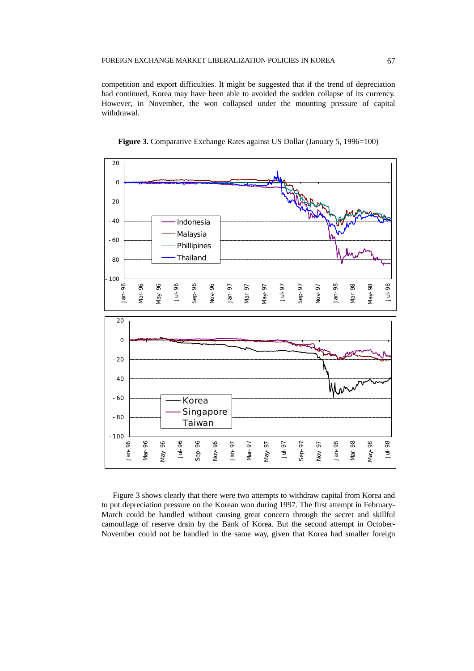competition and export difficulties. It might be suggested that if the trend of depreciation had continued, Korea may have been able to avoided the sudden collapse of its currency. However, in November, the won collapsed under the mounting pressure of capital withdrawal.





Figure 3 shows clearly that there were two attempts to withdraw capital from Korea and to put depreciation pressure on the Korean won during 1997. The first attempt in February-March could be handled without causing great concern through the secret and skillful camouflage of reserve drain by the Bank of Korea. But the second attempt in October-November could not be handled in the same way, given that Korea had smaller foreign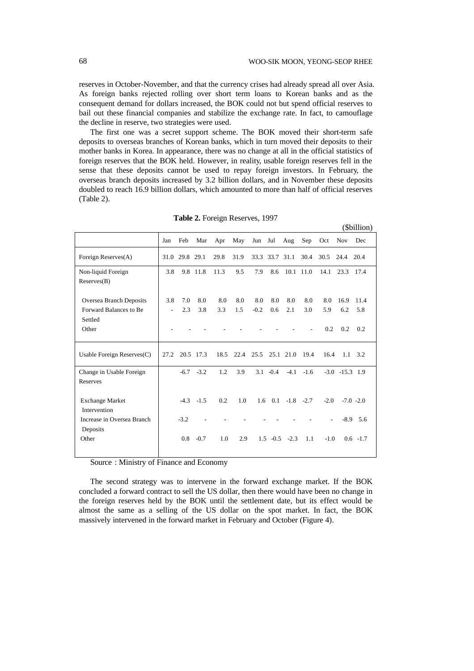$(\Phi$ killion)

reserves in October-November, and that the currency crises had already spread all over Asia. As foreign banks rejected rolling over short term loans to Korean banks and as the consequent demand for dollars increased, the BOK could not but spend official reserves to bail out these financial companies and stabilize the exchange rate. In fact, to camouflage the decline in reserve, two strategies were used.

The first one was a secret support scheme. The BOK moved their short-term safe deposits to overseas branches of Korean banks, which in turn moved their deposits to their mother banks in Korea. In appearance, there was no change at all in the official statistics of foreign reserves that the BOK held. However, in reality, usable foreign reserves fell in the sense that these deposits cannot be used to repay foreign investors. In February, the overseas branch deposits increased by 3.2 billion dollars, and in November these deposits doubled to reach 16.9 billion dollars, which amounted to more than half of official reserves (Table 2).

|                                |                |                |           |      |      |        |                |                         |             |        |                    | (JUHHUH)        |
|--------------------------------|----------------|----------------|-----------|------|------|--------|----------------|-------------------------|-------------|--------|--------------------|-----------------|
|                                | Jan            | Feb            | Mar       | Apr  | May  | Jun    | Jul            | Aug                     | Sep         | Oct    | <b>Nov</b>         | Dec             |
| Foreign Reserves(A)            |                | 31.0 29.8 29.1 |           | 29.8 | 31.9 |        | 33.3 33.7 31.1 |                         | 30.4        | 30.5   | 24.4 20.4          |                 |
| Non-liquid Foreign             | 3.8            |                | 9.8 11.8  | 11.3 | 9.5  | 7.9    | 8.6            | $10.1$ 11.0             |             | 14.1   | 23.3               | 17.4            |
| Reserves(B)                    |                |                |           |      |      |        |                |                         |             |        |                    |                 |
|                                |                |                |           |      |      |        |                |                         |             |        |                    |                 |
| <b>Oversea Branch Deposits</b> | 3.8            | 7.0            | 8.0       | 8.0  | 8.0  | 8.0    | 8.0            | 8.0                     | 8.0         | 8.0    | 16.9               | 11.4            |
| Forward Balances to Be         | $\overline{a}$ | 2.3            | 3.8       | 3.3  | 1.5  | $-0.2$ | 0.6            | 2.1                     | 3.0         | 5.9    | 6.2                | 5.8             |
| Settled                        |                |                |           |      |      |        |                |                         |             |        |                    |                 |
| Other                          |                |                |           |      |      |        |                |                         |             | 0.2    | 0.2                | 0.2             |
|                                |                |                |           |      |      |        |                |                         |             |        |                    |                 |
| Usable Foreign Reserves $(C)$  | 27.2           |                | 20.5 17.3 | 18.5 |      |        |                | 22.4 25.5 25.1 21.0     | 19.4        | 16.4   |                    | $1.1 \quad 3.2$ |
|                                |                |                |           |      |      |        |                |                         |             |        |                    |                 |
| Change in Usable Foreign       |                | $-6.7$         | $-3.2$    | 1.2  | 3.9  |        | $3.1 - 0.4$    |                         | $-4.1 -1.6$ |        | $-3.0$ $-15.3$ 1.9 |                 |
| Reserves                       |                |                |           |      |      |        |                |                         |             |        |                    |                 |
|                                |                |                |           |      |      |        |                |                         |             |        |                    |                 |
| <b>Exchange Market</b>         |                | $-4.3$         | $-1.5$    | 0.2  | 1.0  |        |                | $1.6$ 0.1 $-1.8$ $-2.7$ |             | $-2.0$ |                    | $-7.0 -2.0$     |
| Intervention                   |                |                |           |      |      |        |                |                         |             |        |                    |                 |
| Increase in Oversea Branch     |                | $-3.2$         |           |      |      |        |                |                         |             |        | $-8.9$             | 5.6             |
| Deposits                       |                |                |           |      |      |        |                |                         |             |        |                    |                 |
| Other                          |                | 0.8            | $-0.7$    | 1.0  | 2.9  |        |                | $1.5 -0.5 -2.3$         | 1.1         | $-1.0$ |                    | $0.6 - 1.7$     |
|                                |                |                |           |      |      |        |                |                         |             |        |                    |                 |

**Table 2.** Foreign Reserves, 1997

Source : Ministry of Finance and Economy

The second strategy was to intervene in the forward exchange market. If the BOK concluded a forward contract to sell the US dollar, then there would have been no change in the foreign reserves held by the BOK until the settlement date, but its effect would be almost the same as a selling of the US dollar on the spot market. In fact, the BOK massively intervened in the forward market in February and October (Figure 4).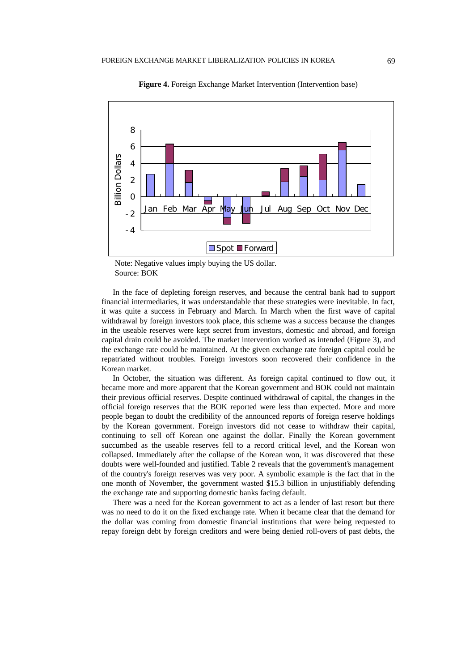

**Figure 4.** Foreign Exchange Market Intervention (Intervention base)

In the face of depleting foreign reserves, and because the central bank had to support financial intermediaries, it was understandable that these strategies were inevitable. In fact, it was quite a success in February and March. In March when the first wave of capital withdrawal by foreign investors took place, this scheme was a success because the changes in the useable reserves were kept secret from investors, domestic and abroad, and foreign capital drain could be avoided. The market intervention worked as intended (Figure 3), and the exchange rate could be maintained. At the given exchange rate foreign capital could be repatriated without troubles. Foreign investors soon recovered their confidence in the Korean market.

In October, the situation was different. As foreign capital continued to flow out, it became more and more apparent that the Korean government and BOK could not maintain their previous official reserves. Despite continued withdrawal of capital, the changes in the official foreign reserves that the BOK reported were less than expected. More and more people began to doubt the credibility of the announced reports of foreign reserve holdings by the Korean government. Foreign investors did not cease to withdraw their capital, continuing to sell off Korean one against the dollar. Finally the Korean government succumbed as the useable reserves fell to a record critical level, and the Korean won collapsed. Immediately after the collapse of the Korean won, it was discovered that these doubts were well-founded and justified. Table 2 reveals that the government's management of the country's foreign reserves was very poor. A symbolic example is the fact that in the one month of November, the government wasted \$15.3 billion in unjustifiably defending the exchange rate and supporting domestic banks facing default.

There was a need for the Korean government to act as a lender of last resort but there was no need to do it on the fixed exchange rate. When it became clear that the demand for the dollar was coming from domestic financial institutions that were being requested to repay foreign debt by foreign creditors and were being denied roll-overs of past debts, the

Note: Negative values imply buying the US dollar. Source: BOK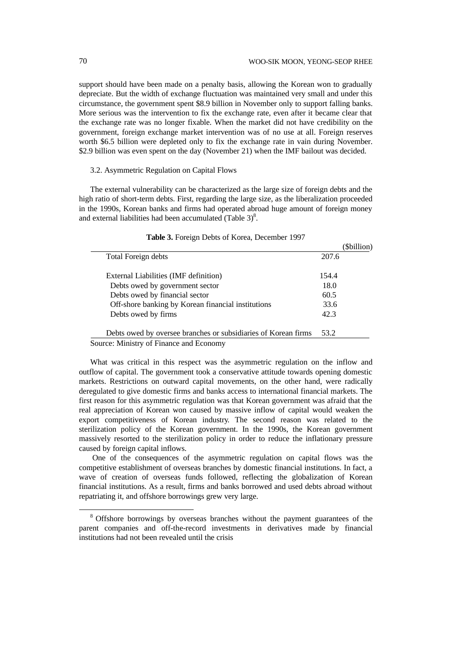support should have been made on a penalty basis, allowing the Korean won to gradually depreciate. But the width of exchange fluctuation was maintained very small and under this circumstance, the government spent \$8.9 billion in November only to support falling banks. More serious was the intervention to fix the exchange rate, even after it became clear that the exchange rate was no longer fixable. When the market did not have credibility on the government, foreign exchange market intervention was of no use at all. Foreign reserves worth \$6.5 billion were depleted only to fix the exchange rate in vain during November. \$2.9 billion was even spent on the day (November 21) when the IMF bailout was decided.

## 3.2. Asymmetric Regulation on Capital Flows

The external vulnerability can be characterized as the large size of foreign debts and the high ratio of short-term debts. First, regarding the large size, as the liberalization proceeded in the 1990s, Korean banks and firms had operated abroad huge amount of foreign money and external liabilities had been accumulated (Table  $3)^8$ .

|                                                                | (\$billion) |
|----------------------------------------------------------------|-------------|
| Total Foreign debts                                            | 207.6       |
| External Liabilities (IMF definition)                          | 154.4       |
| Debts owed by government sector                                | 18.0        |
| Debts owed by financial sector                                 | 60.5        |
| Off-shore banking by Korean financial institutions             | 33.6        |
| Debts owed by firms                                            | 42.3        |
| Debts owed by oversee branches or subsidiaries of Korean firms | 53.2        |
| $\mathbf{M}^*$ is the contract of $\mathbf{M}^*$               |             |

|  |  |  |  | Table 3. Foreign Debts of Korea, December 1997 |  |
|--|--|--|--|------------------------------------------------|--|
|--|--|--|--|------------------------------------------------|--|

Source: Ministry of Finance and Economy

What was critical in this respect was the asymmetric regulation on the inflow and outflow of capital. The government took a conservative attitude towards opening domestic markets. Restrictions on outward capital movements, on the other hand, were radically deregulated to give domestic firms and banks access to international financial markets. The first reason for this asymmetric regulation was that Korean government was afraid that the real appreciation of Korean won caused by massive inflow of capital would weaken the export competitiveness of Korean industry. The second reason was related to the sterilization policy of the Korean government. In the 1990s, the Korean government massively resorted to the sterilization policy in order to reduce the inflationary pressure caused by foreign capital inflows.

 One of the consequences of the asymmetric regulation on capital flows was the competitive establishment of overseas branches by domestic financial institutions. In fact, a wave of creation of overseas funds followed, reflecting the globalization of Korean financial institutions. As a result, firms and banks borrowed and used debts abroad without repatriating it, and offshore borrowings grew very large.

-

<sup>&</sup>lt;sup>8</sup> Offshore borrowings by overseas branches without the payment guarantees of the parent companies and off-the-record investments in derivatives made by financial institutions had not been revealed until the crisis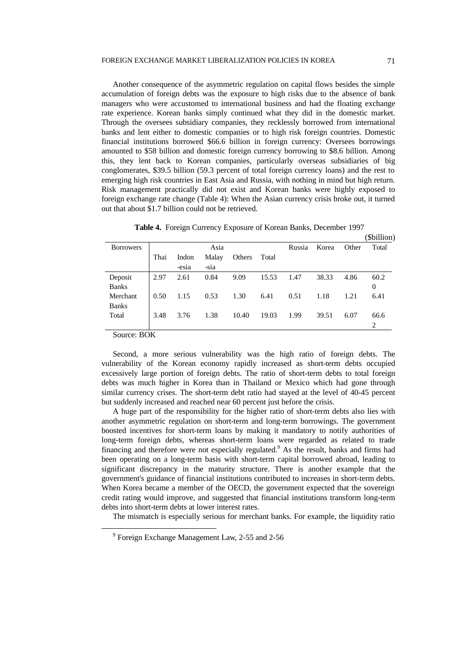Another consequence of the asymmetric regulation on capital flows besides the simple accumulation of foreign debts was the exposure to high risks due to the absence of bank managers who were accustomed to international business and had the floating exchange rate experience. Korean banks simply continued what they did in the domestic market. Through the oversees subsidiary companies, they recklessly borrowed from international banks and lent either to domestic companies or to high risk foreign countries. Domestic financial institutions borrowed \$66.6 billion in foreign currency: Oversees borrowings amounted to \$58 billion and domestic foreign currency borrowing to \$8.6 billion. Among this, they lent back to Korean companies, particularly overseas subsidiaries of big conglomerates, \$39.5 billion (59.3 percent of total foreign currency loans) and the rest to emerging high risk countries in East Asia and Russia, with nothing in mind but high return. Risk management practically did not exist and Korean banks were highly exposed to foreign exchange rate change (Table 4): When the Asian currency crisis broke out, it turned out that about \$1.7 billion could not be retrieved.

|                                |      |                |               |        |       |        |       |       | (\$billion) |
|--------------------------------|------|----------------|---------------|--------|-------|--------|-------|-------|-------------|
| <b>Borrowers</b>               |      |                | Asia          |        |       | Russia | Korea | Other | Total       |
|                                | Thai | Indon<br>-esia | Malay<br>-sia | Others | Total |        |       |       |             |
| Deposit                        | 2.97 | 2.61           | 0.84          | 9.09   | 15.53 | 1.47   | 38.33 | 4.86  | 60.2        |
| <b>Banks</b>                   |      |                |               |        |       |        |       |       | 0           |
| Merchant                       | 0.50 | 1.15           | 0.53          | 1.30   | 6.41  | 0.51   | 1.18  | 1.21  | 6.41        |
| <b>Banks</b>                   |      |                |               |        |       |        |       |       |             |
| Total                          | 3.48 | 3.76           | 1.38          | 10.40  | 19.03 | 1.99   | 39.51 | 6.07  | 66.6        |
|                                |      |                |               |        |       |        |       |       | 2           |
| $\mathcal{C}_{\text{out}}$ DOV |      |                |               |        |       |        |       |       |             |

**Table 4.** Foreign Currency Exposure of Korean Banks, December 1997

Source: BOK

-

Second, a more serious vulnerability was the high ratio of foreign debts. The vulnerability of the Korean economy rapidly increased as short-term debts occupied excessively large portion of foreign debts. The ratio of short-term debts to total foreign debts was much higher in Korea than in Thailand or Mexico which had gone through similar currency crises. The short-term debt ratio had stayed at the level of 40-45 percent but suddenly increased and reached near 60 percent just before the crisis.

A huge part of the responsibility for the higher ratio of short-term debts also lies with another asymmetric regulation on short-term and long-term borrowings. The government boosted incentives for short-term loans by making it mandatory to notify authorities of long-term foreign debts, whereas short-term loans were regarded as related to trade financing and therefore were not especially regulated.<sup>9</sup> As the result, banks and firms had been operating on a long-term basis with short-term capital borrowed abroad, leading to significant discrepancy in the maturity structure. There is another example that the government's guidance of financial institutions contributed to increases in short-term debts. When Korea became a member of the OECD, the government expected that the sovereign credit rating would improve, and suggested that financial institutions transform long-term debts into short-term debts at lower interest rates.

The mismatch is especially serious for merchant banks. For example, the liquidity ratio

<sup>&</sup>lt;sup>9</sup> Foreign Exchange Management Law, 2-55 and 2-56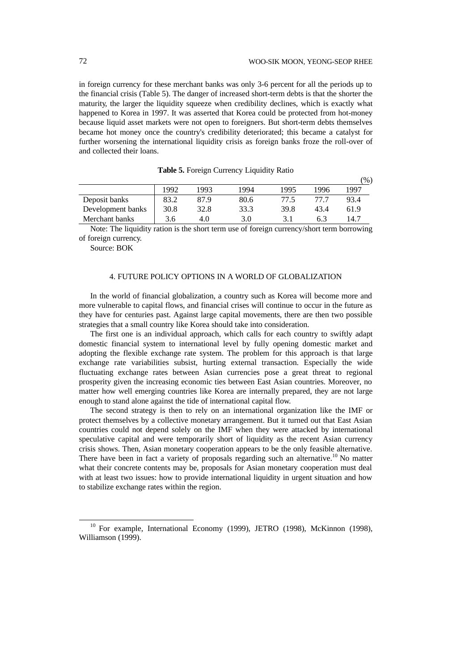$(8)$ 

in foreign currency for these merchant banks was only 3-6 percent for all the periods up to the financial crisis (Table 5). The danger of increased short-term debts is that the shorter the maturity, the larger the liquidity squeeze when credibility declines, which is exactly what happened to Korea in 1997. It was asserted that Korea could be protected from hot-money because liquid asset markets were not open to foreigners. But short-term debts themselves became hot money once the country's credibility deteriorated; this became a catalyst for further worsening the international liquidity crisis as foreign banks froze the roll-over of and collected their loans.

|      |      |      |      |      | $\frac{9}{0}$ |
|------|------|------|------|------|---------------|
| 1992 | 1993 | 1994 | 1995 | 1996 | 1997          |
| 83.2 | 87.9 | 80.6 | 77.5 | 77 7 | 93.4          |
| 30.8 | 32.8 | 33.3 | 39.8 | 43.4 | 61.9          |
| 3.6  | 4.0  | 3.0  |      | 6.3  | 14.7          |
|      |      |      |      |      |               |

|  | Table 5. Foreign Currency Liquidity Ratio |  |  |
|--|-------------------------------------------|--|--|
|  |                                           |  |  |

Note: The liquidity ration is the short term use of foreign currency/short term borrowing of foreign currency.

Source: BOK

-

### 4. FUTURE POLICY OPTIONS IN A WORLD OF GLOBALIZATION

In the world of financial globalization, a country such as Korea will become more and more vulnerable to capital flows, and financial crises will continue to occur in the future as they have for centuries past. Against large capital movements, there are then two possible strategies that a small country like Korea should take into consideration.

The first one is an individual approach, which calls for each country to swiftly adapt domestic financial system to international level by fully opening domestic market and adopting the flexible exchange rate system. The problem for this approach is that large exchange rate variabilities subsist, hurting external transaction. Especially the wide fluctuating exchange rates between Asian currencies pose a great threat to regional prosperity given the increasing economic ties between East Asian countries. Moreover, no matter how well emerging countries like Korea are internally prepared, they are not large enough to stand alone against the tide of international capital flow.

The second strategy is then to rely on an international organization like the IMF or protect themselves by a collective monetary arrangement. But it turned out that East Asian countries could not depend solely on the IMF when they were attacked by international speculative capital and were temporarily short of liquidity as the recent Asian currency crisis shows. Then, Asian monetary cooperation appears to be the only feasible alternative. There have been in fact a variety of proposals regarding such an alternative.<sup>10</sup> No matter what their concrete contents may be, proposals for Asian monetary cooperation must deal with at least two issues: how to provide international liquidity in urgent situation and how to stabilize exchange rates within the region.

<sup>&</sup>lt;sup>10</sup> For example, International Economy (1999), JETRO (1998), McKinnon (1998), Williamson (1999).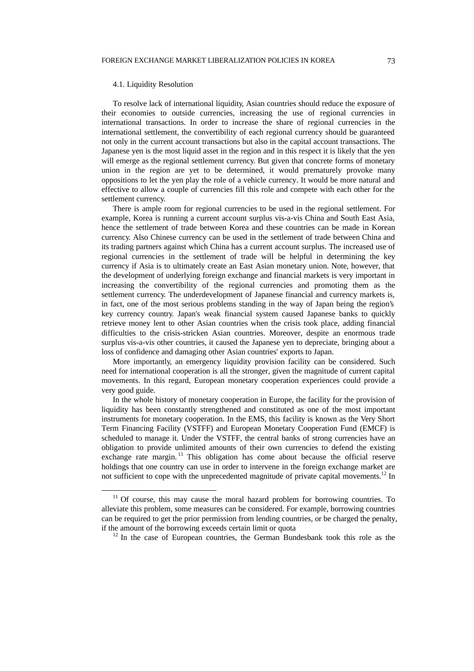#### 4.1. Liquidity Resolution

-

To resolve lack of international liquidity, Asian countries should reduce the exposure of their economies to outside currencies, increasing the use of regional currencies in international transactions. In order to increase the share of regional currencies in the international settlement, the convertibility of each regional currency should be guaranteed not only in the current account transactions but also in the capital account transactions. The Japanese yen is the most liquid asset in the region and in this respect it is likely that the yen will emerge as the regional settlement currency. But given that concrete forms of monetary union in the region are yet to be determined, it would prematurely provoke many oppositions to let the yen play the role of a vehicle currency. It would be more natural and effective to allow a couple of currencies fill this role and compete with each other for the settlement currency.

There is ample room for regional currencies to be used in the regional settlement. For example, Korea is running a current account surplus vis-a-vis China and South East Asia, hence the settlement of trade between Korea and these countries can be made in Korean currency. Also Chinese currency can be used in the settlement of trade between China and its trading partners against which China has a current account surplus. The increased use of regional currencies in the settlement of trade will be helpful in determining the key currency if Asia is to ultimately create an East Asian monetary union. Note, however, that the development of underlying foreign exchange and financial markets is very important in increasing the convertibility of the regional currencies and promoting them as the settlement currency. The underdevelopment of Japanese financial and currency markets is, in fact, one of the most serious problems standing in the way of Japan being the region's key currency country. Japan's weak financial system caused Japanese banks to quickly retrieve money lent to other Asian countries when the crisis took place, adding financial difficulties to the crisis-stricken Asian countries. Moreover, despite an enormous trade surplus vis-a-vis other countries, it caused the Japanese yen to depreciate, bringing about a loss of confidence and damaging other Asian countries' exports to Japan.

More importantly, an emergency liquidity provision facility can be considered. Such need for international cooperation is all the stronger, given the magnitude of current capital movements. In this regard, European monetary cooperation experiences could provide a very good guide.

In the whole history of monetary cooperation in Europe, the facility for the provision of liquidity has been constantly strengthened and constituted as one of the most important instruments for monetary cooperation. In the EMS, this facility is known as the Very Short Term Financing Facility (VSTFF) and European Monetary Cooperation Fund (EMCF) is scheduled to manage it. Under the VSTFF, the central banks of strong currencies have an obligation to provide unlimited amounts of their own currencies to defend the existing exchange rate margin.<sup>11</sup> This obligation has come about because the official reserve holdings that one country can use in order to intervene in the foreign exchange market are not sufficient to cope with the unprecedented magnitude of private capital movements.<sup>12</sup> In

 $11$  Of course, this may cause the moral hazard problem for borrowing countries. To alleviate this problem, some measures can be considered. For example, borrowing countries can be required to get the prior permission from lending countries, or be charged the penalty, if the amount of the borrowing exceeds certain limit or quota

<sup>&</sup>lt;sup>12</sup> In the case of European countries, the German Bundesbank took this role as the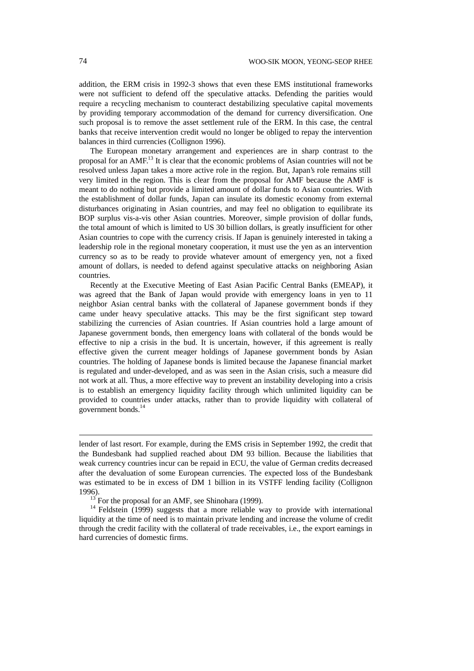addition, the ERM crisis in 1992-3 shows that even these EMS institutional frameworks were not sufficient to defend off the speculative attacks. Defending the parities would require a recycling mechanism to counteract destabilizing speculative capital movements by providing temporary accommodation of the demand for currency diversification. One such proposal is to remove the asset settlement rule of the ERM. In this case, the central banks that receive intervention credit would no longer be obliged to repay the intervention balances in third currencies (Collignon 1996).

The European monetary arrangement and experiences are in sharp contrast to the proposal for an AMF.<sup>13</sup> It is clear that the economic problems of Asian countries will not be resolved unless Japan takes a more active role in the region. But, Japan's role remains still very limited in the region. This is clear from the proposal for AMF because the AMF is meant to do nothing but provide a limited amount of dollar funds to Asian countries. With the establishment of dollar funds, Japan can insulate its domestic economy from external disturbances originating in Asian countries, and may feel no obligation to equilibrate its BOP surplus vis-a-vis other Asian countries. Moreover, simple provision of dollar funds, the total amount of which is limited to US 30 billion dollars, is greatly insufficient for other Asian countries to cope with the currency crisis. If Japan is genuinely interested in taking a leadership role in the regional monetary cooperation, it must use the yen as an intervention currency so as to be ready to provide whatever amount of emergency yen, not a fixed amount of dollars, is needed to defend against speculative attacks on neighboring Asian countries.

Recently at the Executive Meeting of East Asian Pacific Central Banks (EMEAP), it was agreed that the Bank of Japan would provide with emergency loans in yen to 11 neighbor Asian central banks with the collateral of Japanese government bonds if they came under heavy speculative attacks. This may be the first significant step toward stabilizing the currencies of Asian countries. If Asian countries hold a large amount of Japanese government bonds, then emergency loans with collateral of the bonds would be effective to nip a crisis in the bud. It is uncertain, however, if this agreement is really effective given the current meager holdings of Japanese government bonds by Asian countries. The holding of Japanese bonds is limited because the Japanese financial market is regulated and under-developed, and as was seen in the Asian crisis, such a measure did not work at all. Thus, a more effective way to prevent an instability developing into a crisis is to establish an emergency liquidity facility through which unlimited liquidity can be provided to countries under attacks, rather than to provide liquidity with collateral of government bonds.<sup>14</sup>

l

lender of last resort. For example, during the EMS crisis in September 1992, the credit that the Bundesbank had supplied reached about DM 93 billion. Because the liabilities that weak currency countries incur can be repaid in ECU, the value of German credits decreased after the devaluation of some European currencies. The expected loss of the Bundesbank was estimated to be in excess of DM 1 billion in its VSTFF lending facility (Collignon 1996).

 $13$  For the proposal for an AMF, see Shinohara (1999).

<sup>&</sup>lt;sup>14</sup> Feldstein (1999) suggests that a more reliable way to provide with international liquidity at the time of need is to maintain private lending and increase the volume of credit through the credit facility with the collateral of trade receivables, i.e., the export earnings in hard currencies of domestic firms.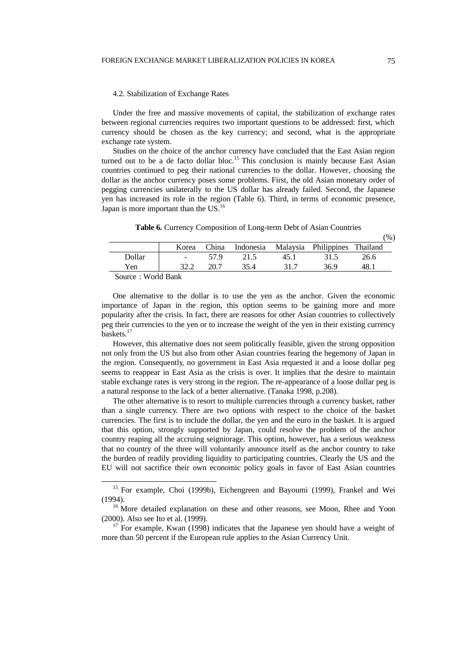#### 4.2. Stabilization of Exchange Rates

Under the free and massive movements of capital, the stabilization of exchange rates between regional currencies requires two important questions to be addressed: first, which currency should be chosen as the key currency; and second, what is the appropriate exchange rate system.

Studies on the choice of the anchor currency have concluded that the East Asian region turned out to be a de facto dollar bloc.<sup>15</sup> This conclusion is mainly because East Asian countries continued to peg their national currencies to the dollar. However, choosing the dollar as the anchor currency poses some problems. First, the old Asian monetary order of pegging currencies unilaterally to the US dollar has already failed. Second, the Japanese yen has increased its role in the region (Table 6). Third, in terms of economic presence, Japan is more important than the US.<sup>16</sup>

**Table 6.** Currency Composition of Long-term Debt of Asian Countries

|                                                                  |        |       |           |      |                               |      | $\gamma_0$ |
|------------------------------------------------------------------|--------|-------|-----------|------|-------------------------------|------|------------|
|                                                                  | Korea  | China | Indonesia |      | Malaysia Philippines Thailand |      |            |
| Dollar                                                           | $\sim$ | 57.9  |           | 45.1 | 31.5                          | 26.6 |            |
| Yen                                                              |        |       |           | 317  | 369                           |      |            |
| $C_{\text{out}}$ $\sim$ $W_{\text{out}}$ $\sim$ $D_{\text{out}}$ |        |       |           |      |                               |      |            |

Source : World Bank

-

One alternative to the dollar is to use the yen as the anchor. Given the economic importance of Japan in the region, this option seems to be gaining more and more popularity after the crisis. In fact, there are reasons for other Asian countries to collectively peg their currencies to the yen or to increase the weight of the yen in their existing currency baskets.<sup>17</sup>

However, this alternative does not seem politically feasible, given the strong opposition not only from the US but also from other Asian countries fearing the hegemony of Japan in the region. Consequently, no government in East Asia requested it and a loose dollar peg seems to reappear in East Asia as the crisis is over. It implies that the desire to maintain stable exchange rates is very strong in the region. The re-appearance of a loose dollar peg is a natural response to the lack of a better alternative. (Tanaka 1998, p.208).

The other alternative is to resort to multiple currencies through a currency basket, rather than a single currency. There are two options with respect to the choice of the basket currencies. The first is to include the dollar, the yen and the euro in the basket. It is argued that this option, strongly supported by Japan, could resolve the problem of the anchor country reaping all the accruing seigniorage. This option, however, has a serious weakness that no country of the three will voluntarily announce itself as the anchor country to take the burden of readily providing liquidity to participating countries. Clearly the US and the EU will not sacrifice their own economic policy goals in favor of East Asian countries

 $(0)$ 

<sup>&</sup>lt;sup>15</sup> For example, Choi (1999b), Eichengreen and Bayoumi (1999), Frankel and Wei (1994).

<sup>&</sup>lt;sup>16</sup> More detailed explanation on these and other reasons, see Moon, Rhee and Yoon (2000). Also see Ito et al. (1999).

 $17$  For example, Kwan (1998) indicates that the Japanese yen should have a weight of more than 50 percent if the European rule applies to the Asian Currency Unit.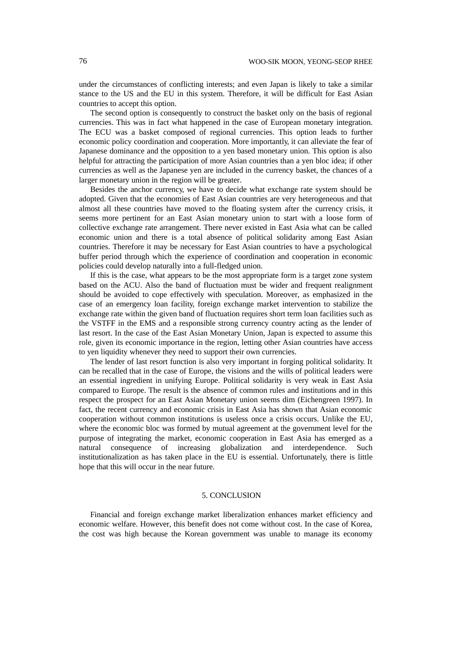under the circumstances of conflicting interests; and even Japan is likely to take a similar stance to the US and the EU in this system. Therefore, it will be difficult for East Asian countries to accept this option.

The second option is consequently to construct the basket only on the basis of regional currencies. This was in fact what happened in the case of European monetary integration. The ECU was a basket composed of regional currencies. This option leads to further economic policy coordination and cooperation. More importantly, it can alleviate the fear of Japanese dominance and the opposition to a yen based monetary union. This option is also helpful for attracting the participation of more Asian countries than a yen bloc idea; if other currencies as well as the Japanese yen are included in the currency basket, the chances of a larger monetary union in the region will be greater.

Besides the anchor currency, we have to decide what exchange rate system should be adopted. Given that the economies of East Asian countries are very heterogeneous and that almost all these countries have moved to the floating system after the currency crisis, it seems more pertinent for an East Asian monetary union to start with a loose form of collective exchange rate arrangement. There never existed in East Asia what can be called economic union and there is a total absence of political solidarity among East Asian countries. Therefore it may be necessary for East Asian countries to have a psychological buffer period through which the experience of coordination and cooperation in economic policies could develop naturally into a full-fledged union.

If this is the case, what appears to be the most appropriate form is a target zone system based on the ACU. Also the band of fluctuation must be wider and frequent realignment should be avoided to cope effectively with speculation. Moreover, as emphasized in the case of an emergency loan facility, foreign exchange market intervention to stabilize the exchange rate within the given band of fluctuation requires short term loan facilities such as the VSTFF in the EMS and a responsible strong currency country acting as the lender of last resort. In the case of the East Asian Monetary Union, Japan is expected to assume this role, given its economic importance in the region, letting other Asian countries have access to yen liquidity whenever they need to support their own currencies.

The lender of last resort function is also very important in forging political solidarity. It can be recalled that in the case of Europe, the visions and the wills of political leaders were an essential ingredient in unifying Europe. Political solidarity is very weak in East Asia compared to Europe. The result is the absence of common rules and institutions and in this respect the prospect for an East Asian Monetary union seems dim (Eichengreen 1997). In fact, the recent currency and economic crisis in East Asia has shown that Asian economic cooperation without common institutions is useless once a crisis occurs. Unlike the EU, where the economic bloc was formed by mutual agreement at the government level for the purpose of integrating the market, economic cooperation in East Asia has emerged as a natural consequence of increasing globalization and interdependence. Such institutionalization as has taken place in the EU is essential. Unfortunately, there is little hope that this will occur in the near future.

### 5. CONCLUSION

Financial and foreign exchange market liberalization enhances market efficiency and economic welfare. However, this benefit does not come without cost. In the case of Korea, the cost was high because the Korean government was unable to manage its economy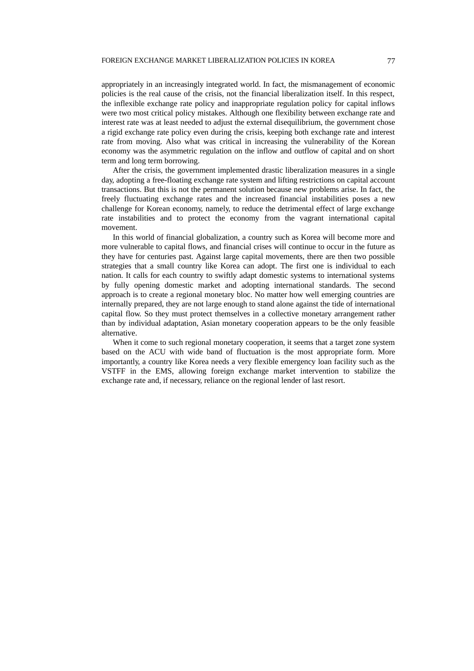appropriately in an increasingly integrated world. In fact, the mismanagement of economic policies is the real cause of the crisis, not the financial liberalization itself. In this respect, the inflexible exchange rate policy and inappropriate regulation policy for capital inflows were two most critical policy mistakes. Although one flexibility between exchange rate and interest rate was at least needed to adjust the external disequilibrium, the government chose a rigid exchange rate policy even during the crisis, keeping both exchange rate and interest rate from moving. Also what was critical in increasing the vulnerability of the Korean economy was the asymmetric regulation on the inflow and outflow of capital and on short term and long term borrowing.

After the crisis, the government implemented drastic liberalization measures in a single day, adopting a free-floating exchange rate system and lifting restrictions on capital account transactions. But this is not the permanent solution because new problems arise. In fact, the freely fluctuating exchange rates and the increased financial instabilities poses a new challenge for Korean economy, namely, to reduce the detrimental effect of large exchange rate instabilities and to protect the economy from the vagrant international capital movement.

In this world of financial globalization, a country such as Korea will become more and more vulnerable to capital flows, and financial crises will continue to occur in the future as they have for centuries past. Against large capital movements, there are then two possible strategies that a small country like Korea can adopt. The first one is individual to each nation. It calls for each country to swiftly adapt domestic systems to international systems by fully opening domestic market and adopting international standards. The second approach is to create a regional monetary bloc. No matter how well emerging countries are internally prepared, they are not large enough to stand alone against the tide of international capital flow. So they must protect themselves in a collective monetary arrangement rather than by individual adaptation, Asian monetary cooperation appears to be the only feasible alternative.

When it come to such regional monetary cooperation, it seems that a target zone system based on the ACU with wide band of fluctuation is the most appropriate form. More importantly, a country like Korea needs a very flexible emergency loan facility such as the VSTFF in the EMS, allowing foreign exchange market intervention to stabilize the exchange rate and, if necessary, reliance on the regional lender of last resort.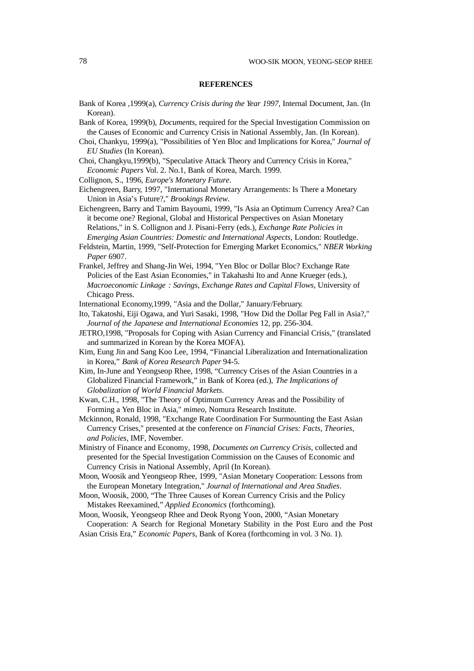### **REFERENCES**

- Bank of Korea ,1999(a), *Currency Crisis during the Year 1997*, Internal Document, Jan. (In Korean).
- Bank of Korea, 1999(b), *Documents,* required for the Special Investigation Commission on the Causes of Economic and Currency Crisis in National Assembly, Jan. (In Korean).
- Choi, Chankyu, 1999(a), "Possibilities of Yen Bloc and Implications for Korea," *Journal of EU Studies* (In Korean).
- Choi, Changkyu,1999(b), "Speculative Attack Theory and Currency Crisis in Korea," *Economic Papers* Vol. 2. No.1, Bank of Korea, March. 1999.
- Collignon, S., 1996, *Europe's Monetary Future*.
- Eichengreen, Barry, 1997, "International Monetary Arrangements: Is There a Monetary Union in Asia's Future?," *Brookings Review*.
- Eichengreen, Barry and Tamim Bayoumi, 1999, "Is Asia an Optimum Currency Area? Can it become one? Regional, Global and Historical Perspectives on Asian Monetary Relations," in S. Collignon and J. Pisani-Ferry (eds.), *Exchange Rate Policies in Emerging Asian Countries: Domestic and International Aspects,* London: Routledge.
- Feldstein, Martin, 1999, "Self-Protection for Emerging Market Economics," *NBER Working Paper* 6907.
- Frankel, Jeffrey and Shang-Jin Wei, 1994, "Yen Bloc or Dollar Bloc? Exchange Rate Policies of the East Asian Economies," in Takahashi Ito and Anne Krueger (eds.), *Macroeconomic Linkage : Savings, Exchange Rates and Capital Flows*, University of Chicago Press.
- International Economy,1999, "Asia and the Dollar," January/February.
- Ito, Takatoshi, Eiji Ogawa, and Yuri Sasaki, 1998, "How Did the Dollar Peg Fall in Asia?," *Journal of the Japanese and International Economies* 12, pp. 256-304.
- JETRO,1998, "Proposals for Coping with Asian Currency and Financial Crisis," (translated and summarized in Korean by the Korea MOFA).
- Kim, Eung Jin and Sang Koo Lee, 1994, "Financial Liberalization and Internationalization in Korea," *Bank of Korea Research Paper* 94-5.
- Kim, In-June and Yeongseop Rhee, 1998, "Currency Crises of the Asian Countries in a Globalized Financial Framework," in Bank of Korea (ed.), *The Implications of Globalization of World Financial Markets*.
- Kwan, C.H., 1998, "The Theory of Optimum Currency Areas and the Possibility of Forming a Yen Bloc in Asia," *mimeo*, Nomura Research Institute.
- Mckinnon, Ronald, 1998, "Exchange Rate Coordination For Surmounting the East Asian Currency Crises," presented at the conference on *Financial Crises: Facts, Theories, and Policies*, IMF, November.
- Ministry of Finance and Economy, 1998, *Documents on Currency Crisis*, collected and presented for the Special Investigation Commission on the Causes of Economic and Currency Crisis in National Assembly, April (In Korean).
- Moon, Woosik and Yeongseop Rhee, 1999, "Asian Monetary Cooperation: Lessons from the European Monetary Integration," *Journal of International and Area Studies*.
- Moon, Woosik, 2000, "The Three Causes of Korean Currency Crisis and the Policy Mistakes Reexamined," *Applied Economics* (forthcoming).
- Moon, Woosik, Yeongseop Rhee and Deok Ryong Yoon, 2000, "Asian Monetary Cooperation: A Search for Regional Monetary Stability in the Post Euro and the Post
- Asian Crisis Era," *Economic Papers*, Bank of Korea (forthcoming in vol. 3 No. 1).